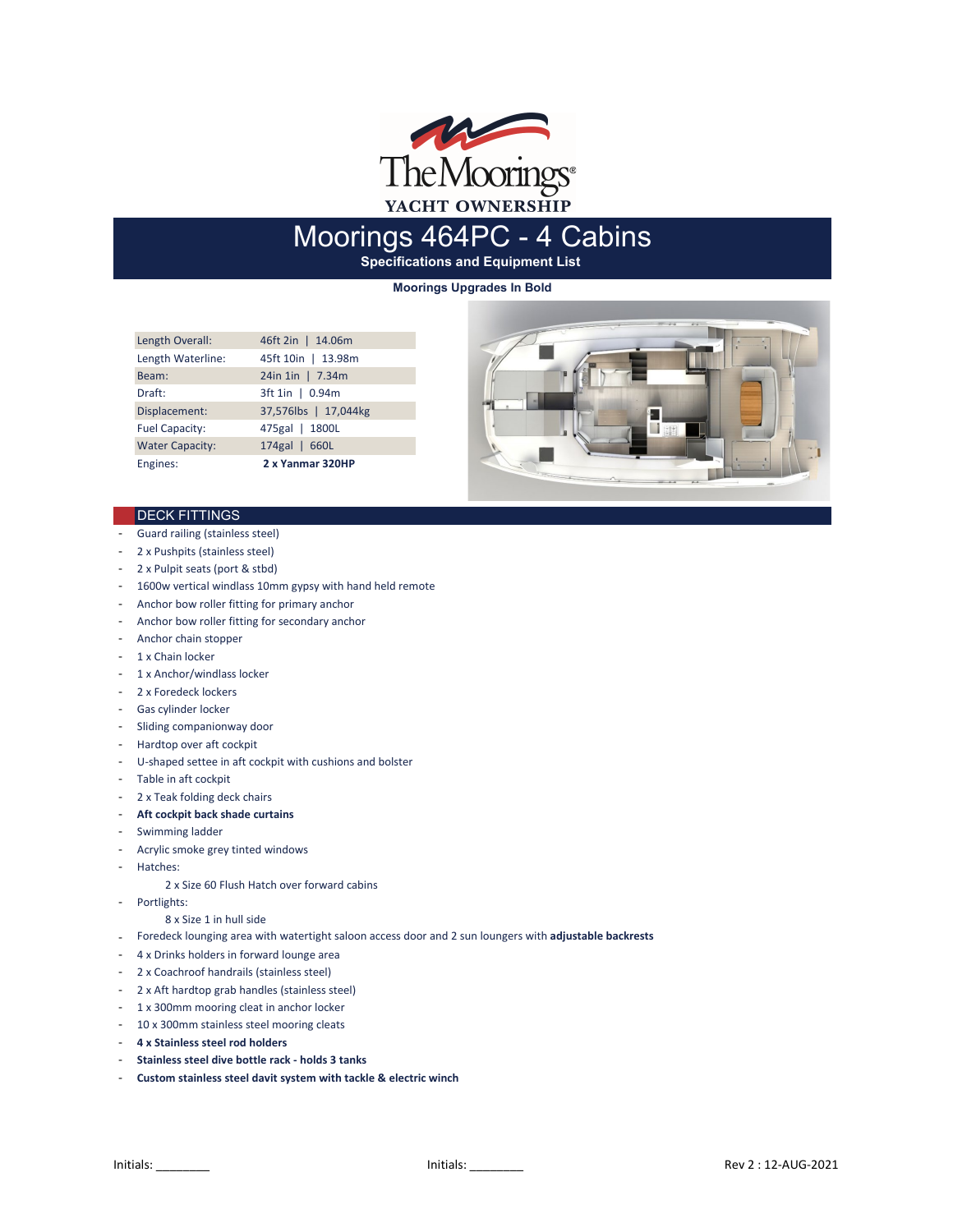

# Moorings 464PC - 4 Cabins

**Specifications and Equipment List** 

**Moorings Upgrades In Bold**

| Length Overall:        | 46ft 2in   14.06m    |
|------------------------|----------------------|
| Length Waterline:      | 45ft 10in   13.98m   |
| Beam:                  | 24in 1in   7.34m     |
| Draft:                 | 3ft 1in   0.94m      |
| Displacement:          | 37,576lbs   17,044kg |
| <b>Fuel Capacity:</b>  | 475gal   1800L       |
| <b>Water Capacity:</b> | 174gal   660L        |
| Engines:               | 2 x Yanmar 320HP     |



## **DECK FITTINGS**

- Guard railing (stainless steel)
- 2 x Pushpits (stainless steel)
- 2 x Pulpit seats (port & stbd)
- 1600w vertical windlass 10mm gypsy with hand held remote
- Anchor bow roller fitting for primary anchor
- Anchor bow roller fitting for secondary anchor
- Anchor chain stopper
- 1 x Chain locker
- 1 x Anchor/windlass locker
- 2 x Foredeck lockers
- Gas cylinder locker
- Sliding companionway door
- Hardtop over aft cockpit
- U-shaped settee in aft cockpit with cushions and bolster
- Table in aft cockpit
- 2 x Teak folding deck chairs
- **Aft cockpit back shade curtains**
- Swimming ladder
- Acrylic smoke grey tinted windows
- Hatches:
	- 2 x Size 60 Flush Hatch over forward cabins
- Portlights:

## 8 x Size 1 in hull side

- Foredeck lounging area with watertight saloon access door and 2 sun loungers with **adjustable backrests**
- 4 x Drinks holders in forward lounge area
- 2 x Coachroof handrails (stainless steel)
- 2 x Aft hardtop grab handles (stainless steel)
- 1 x 300mm mooring cleat in anchor locker
- 10 x 300mm stainless steel mooring cleats
- **4 x Stainless steel rod holders**
- **Stainless steel dive bottle rack holds 3 tanks**
- **Custom stainless steel davit system with tackle & electric winch**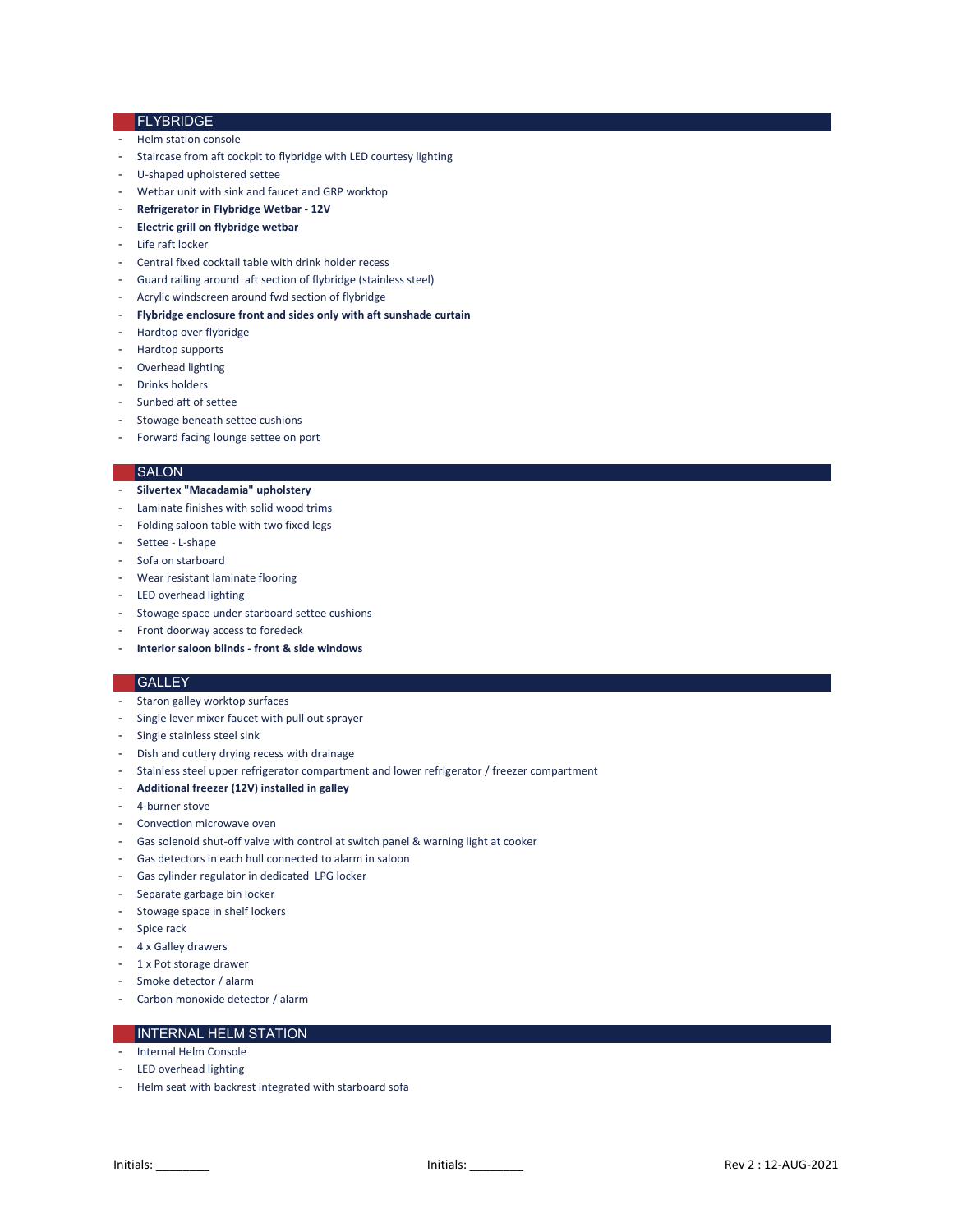## FLYBRIDGE

- Helm station console
- Staircase from aft cockpit to flybridge with LED courtesy lighting
- U-shaped upholstered settee
- Wetbar unit with sink and faucet and GRP worktop
- **Refrigerator in Flybridge Wetbar 12V**
- **Electric grill on flybridge wetbar**
- Life raft locker
- Central fixed cocktail table with drink holder recess
- Guard railing around aft section of flybridge (stainless steel)
- Acrylic windscreen around fwd section of flybridge
- **Flybridge enclosure front and sides only with aft sunshade curtain**
- Hardtop over flybridge
- Hardtop supports
- Overhead lighting
- Drinks holders
- Sunbed aft of settee
- Stowage beneath settee cushions
- Forward facing lounge settee on port

#### **SALON**

- **Silvertex "Macadamia" upholstery**
- Laminate finishes with solid wood trims
- Folding saloon table with two fixed legs
- Settee L-shape
- Sofa on starboard
- Wear resistant laminate flooring
- LED overhead lighting
- Stowage space under starboard settee cushions
- Front doorway access to foredeck
- **Interior saloon blinds front & side windows**

## **GALLEY**

- Staron galley worktop surfaces
- Single lever mixer faucet with pull out sprayer
- Single stainless steel sink
- Dish and cutlery drying recess with drainage
- Stainless steel upper refrigerator compartment and lower refrigerator / freezer compartment
- **Additional freezer (12V) installed in galley**
- 4-burner stove
- Convection microwave oven
- Gas solenoid shut-off valve with control at switch panel & warning light at cooker
- Gas detectors in each hull connected to alarm in saloon
- Gas cylinder regulator in dedicated LPG locker
- Separate garbage bin locker
- Stowage space in shelf lockers
- Spice rack
- 4 x Galley drawers
- 1 x Pot storage drawer
- Smoke detector / alarm
- Carbon monoxide detector / alarm

# INTERNAL HELM STATION

- Internal Helm Console
- LED overhead lighting
- Helm seat with backrest integrated with starboard sofa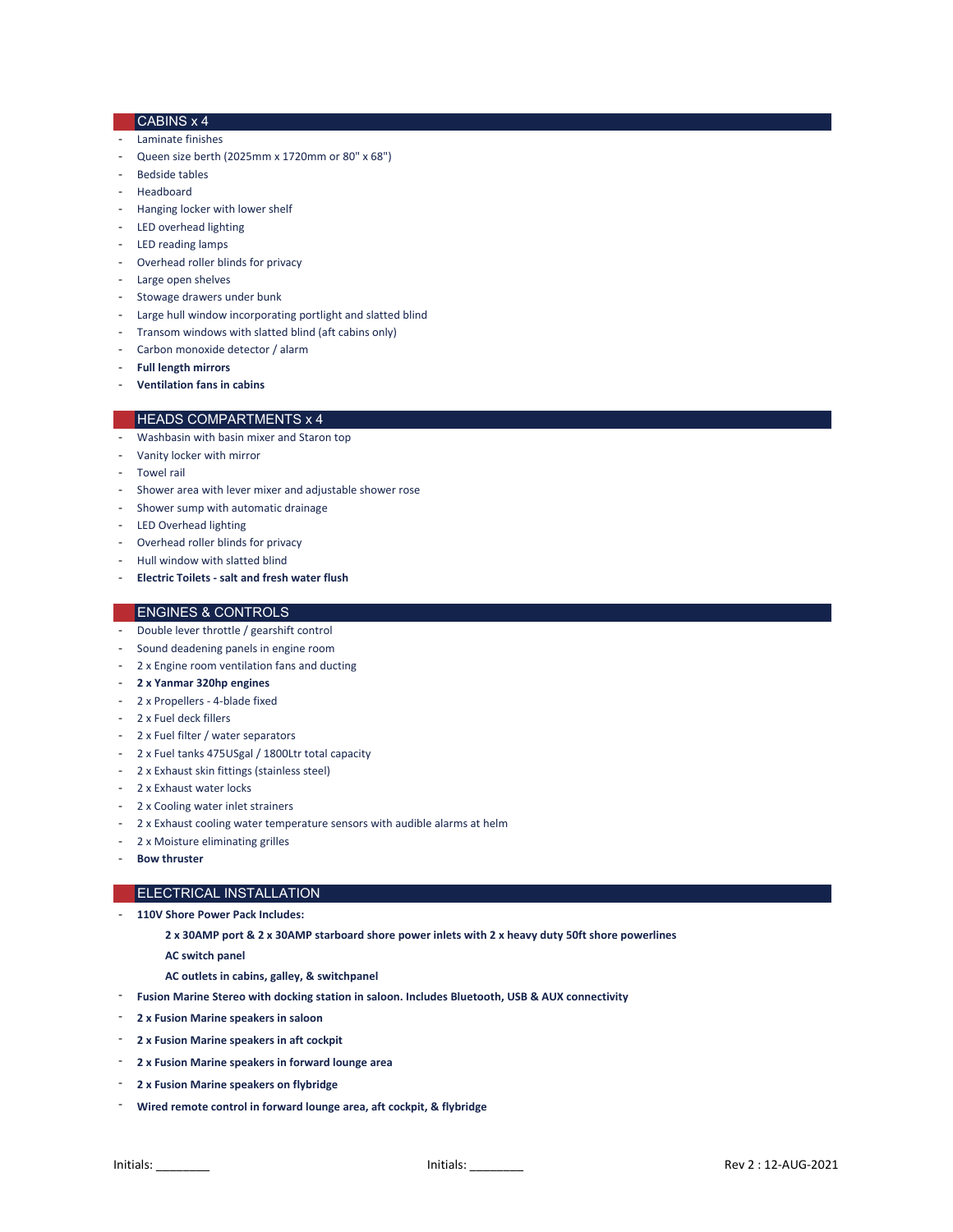# CABINS x 4

- Laminate finishes
- Queen size berth (2025mm x 1720mm or 80" x 68")
- Bedside tables
- Headboard
- Hanging locker with lower shelf
- LED overhead lighting
- LED reading lamps
- Overhead roller blinds for privacy
- Large open shelves
- Stowage drawers under bunk
- Large hull window incorporating portlight and slatted blind
- Transom windows with slatted blind (aft cabins only)
- Carbon monoxide detector / alarm
- **Full length mirrors**
- **Ventilation fans in cabins**

#### HEADS COMPARTMENTS x 4

- Washbasin with basin mixer and Staron top
- Vanity locker with mirror
- Towel rail
- Shower area with lever mixer and adjustable shower rose
- Shower sump with automatic drainage
- LED Overhead lighting
- Overhead roller blinds for privacy
- Hull window with slatted blind
- **Electric Toilets salt and fresh water flush**

## ENGINES & CONTROLS

- Double lever throttle / gearshift control
- Sound deadening panels in engine room
- 2 x Engine room ventilation fans and ducting
- **2 x Yanmar 320hp engines**
- 2 x Propellers 4-blade fixed
- 2 x Fuel deck fillers
- 2 x Fuel filter / water separators
- 2 x Fuel tanks 475USgal / 1800Ltr total capacity
- 2 x Exhaust skin fittings (stainless steel)
- 2 x Exhaust water locks
- 2 x Cooling water inlet strainers
- 2 x Exhaust cooling water temperature sensors with audible alarms at helm
- 2 x Moisture eliminating grilles
- **Bow thruster**

## ELECTRICAL INSTALLATION

- **110V Shore Power Pack Includes:**
	- **2 x 30AMP port & 2 x 30AMP starboard shore power inlets with 2 x heavy duty 50ft shore powerlines**
	- **AC switch panel**
	- **AC outlets in cabins, galley, & switchpanel**
	- **Fusion Marine Stereo with docking station in saloon. Includes Bluetooth, USB & AUX connectivity**
- **2 x Fusion Marine speakers in saloon**
- **2 x Fusion Marine speakers in aft cockpit**
- **2 x Fusion Marine speakers in forward lounge area**
- **2 x Fusion Marine speakers on flybridge**
- **Wired remote control in forward lounge area, aft cockpit, & flybridge**

-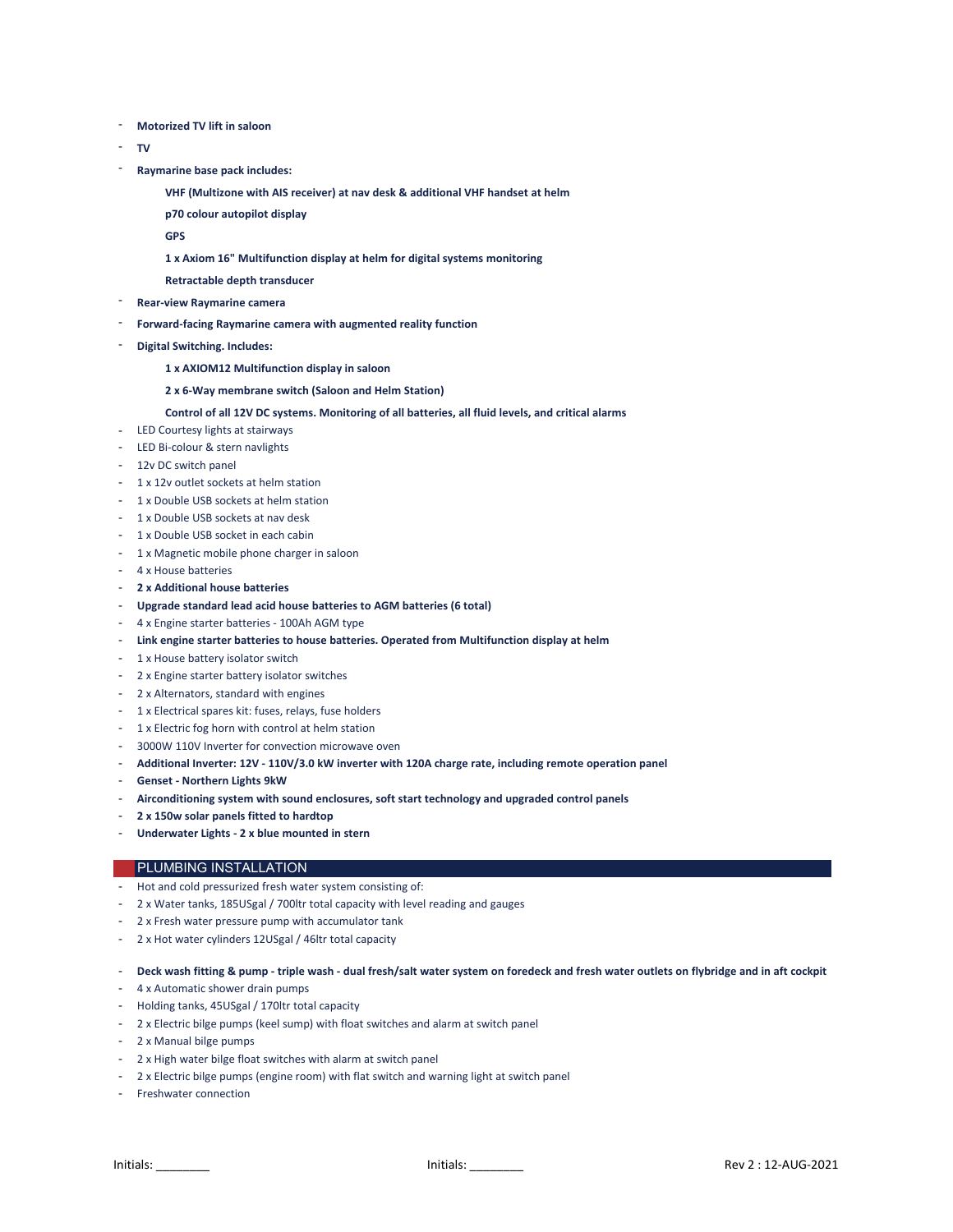- **Motorized TV lift in saloon**
- **TV**
- **Raymarine base pack includes:**
	- **VHF (Multizone with AIS receiver) at nav desk & additional VHF handset at helm**
	- **p70 colour autopilot display**
	- **GPS**
	- **1 x Axiom 16" Multifunction display at helm for digital systems monitoring**
	- **Retractable depth transducer**
- **Rear-view Raymarine camera**
- **Forward-facing Raymarine camera with augmented reality function**
- **Digital Switching. Includes:** 
	- **1 x AXIOM12 Multifunction display in saloon**
	- **2 x 6-Way membrane switch (Saloon and Helm Station)**

### **Control of all 12V DC systems. Monitoring of all batteries, all fluid levels, and critical alarms**

- LED Courtesy lights at stairways
- LED Bi-colour & stern navlights
- 12v DC switch panel
- 1 x 12v outlet sockets at helm station
- 1 x Double USB sockets at helm station
- 1 x Double USB sockets at nav desk
- 1 x Double USB socket in each cabin
- 1 x Magnetic mobile phone charger in saloon
- 4 x House batteries
- **2 x Additional house batteries**
- **Upgrade standard lead acid house batteries to AGM batteries (6 total)**
- 4 x Engine starter batteries 100Ah AGM type
- **Link engine starter batteries to house batteries. Operated from Multifunction display at helm**
- 1 x House battery isolator switch
- 2 x Engine starter battery isolator switches
- 2 x Alternators, standard with engines
- 1 x Electrical spares kit: fuses, relays, fuse holders
- 1 x Electric fog horn with control at helm station
- 3000W 110V Inverter for convection microwave oven
- **Additional Inverter: 12V 110V/3.0 kW inverter with 120A charge rate, including remote operation panel**
- **Genset Northern Lights 9kW**
- **Airconditioning system with sound enclosures, soft start technology and upgraded control panels**
- **2 x 150w solar panels fitted to hardtop**
- **Underwater Lights 2 x blue mounted in stern**

### **PLUMBING INSTALLATION**

- Hot and cold pressurized fresh water system consisting of:
- 2 x Water tanks, 185USgal / 700ltr total capacity with level reading and gauges
- 2 x Fresh water pressure pump with accumulator tank
- 2 x Hot water cylinders 12USgal / 46ltr total capacity

- **Deck wash fitting & pump - triple wash - dual fresh/salt water system on foredeck and fresh water outlets on flybridge and in aft cockpit**

- 4 x Automatic shower drain pumps
- Holding tanks, 45USgal / 170ltr total capacity
- 2 x Electric bilge pumps (keel sump) with float switches and alarm at switch panel
- 2 x Manual bilge pumps
- 2 x High water bilge float switches with alarm at switch panel
- 2 x Electric bilge pumps (engine room) with flat switch and warning light at switch panel
- Freshwater connection